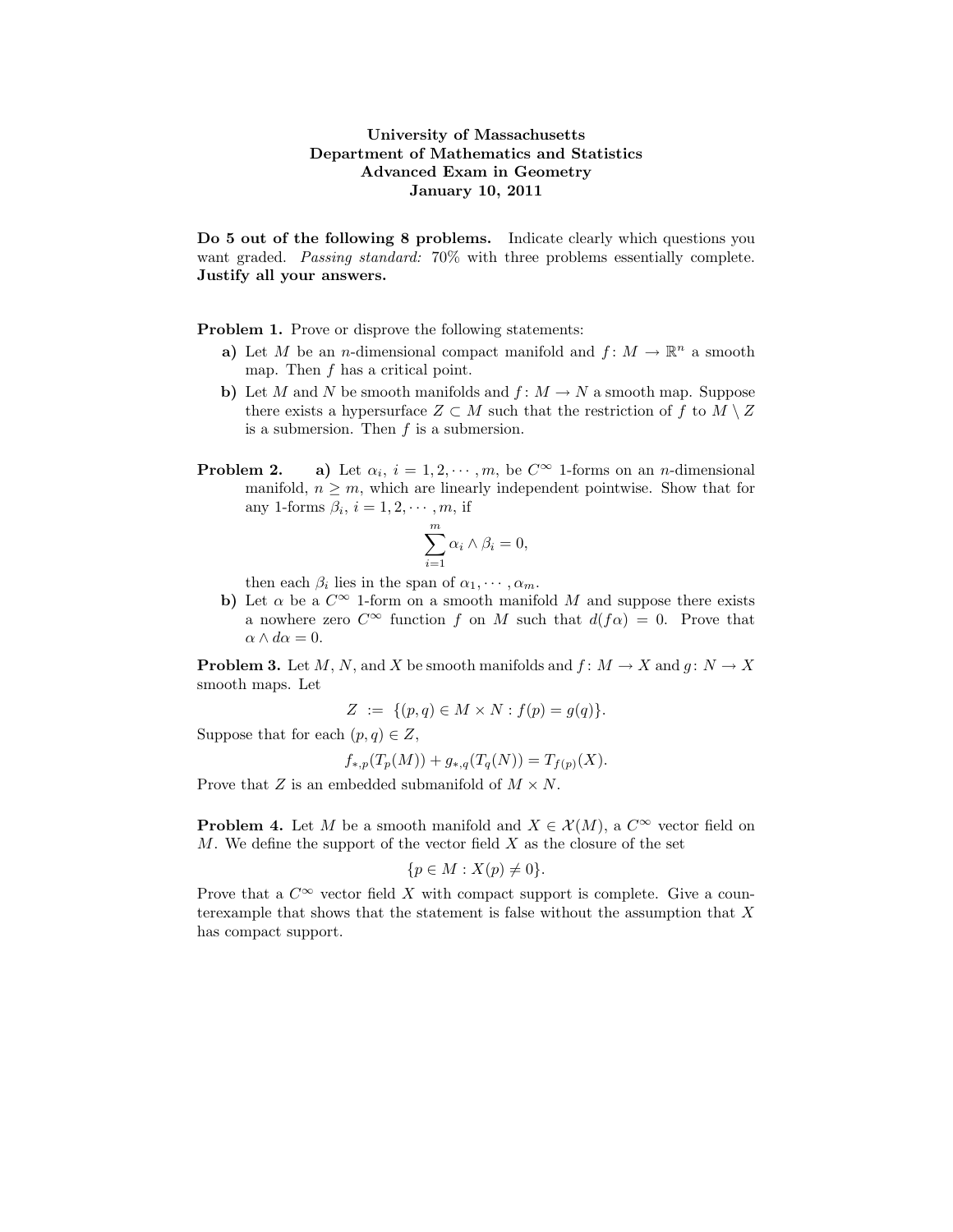## University of Massachusetts Department of Mathematics and Statistics Advanced Exam in Geometry January 10, 2011

Do 5 out of the following 8 problems. Indicate clearly which questions you want graded. Passing standard: 70% with three problems essentially complete. Justify all your answers.

Problem 1. Prove or disprove the following statements:

- a) Let M be an *n*-dimensional compact manifold and  $f: M \to \mathbb{R}^n$  a smooth map. Then  $f$  has a critical point.
- b) Let M and N be smooth manifolds and  $f: M \to N$  a smooth map. Suppose there exists a hypersurface  $Z \subset M$  such that the restriction of f to  $M \setminus Z$ is a submersion. Then  $f$  is a submersion.
- Problem 2. a) Let  $\alpha_i$ ,  $i = 1, 2, \dots, m$ , be  $C^{\infty}$  1-forms on an *n*-dimensional manifold,  $n \geq m$ , which are linearly independent pointwise. Show that for any 1-forms  $\beta_i$ ,  $i = 1, 2, \dots, m$ , if

$$
\sum_{i=1}^{m} \alpha_i \wedge \beta_i = 0,
$$

then each  $\beta_i$  lies in the span of  $\alpha_1, \cdots, \alpha_m$ .

b) Let  $\alpha$  be a  $C^{\infty}$  1-form on a smooth manifold M and suppose there exists a nowhere zero  $C^{\infty}$  function f on M such that  $d(f\alpha) = 0$ . Prove that  $\alpha \wedge d\alpha = 0.$ 

**Problem 3.** Let M, N, and X be smooth manifolds and  $f: M \to X$  and  $g: N \to X$ smooth maps. Let

$$
Z := \{ (p, q) \in M \times N : f(p) = g(q) \}.
$$

Suppose that for each  $(p, q) \in Z$ ,

$$
f_{*,p}(T_p(M)) + g_{*,q}(T_q(N)) = T_{f(p)}(X).
$$

Prove that Z is an embedded submanifold of  $M \times N$ .

**Problem 4.** Let M be a smooth manifold and  $X \in \mathcal{X}(M)$ , a  $C^{\infty}$  vector field on  $M$ . We define the support of the vector field  $X$  as the closure of the set

$$
\{p \in M : X(p) \neq 0\}.
$$

Prove that a  $C^{\infty}$  vector field X with compact support is complete. Give a counterexample that shows that the statement is false without the assumption that  $X$ has compact support.